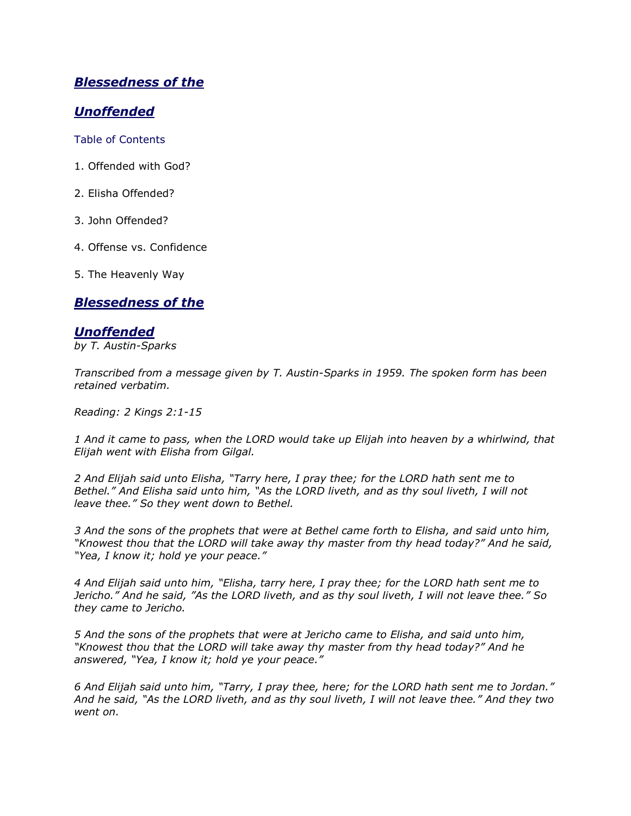# *Blessedness of the*

# *Unoffended*

Table of Contents

- 1. Offended with God?
- 2. Elisha Offended?
- 3. John Offended?
- 4. Offense vs. Confidence
- 5. The Heavenly Way

## *Blessedness of the*

### *Unoffended*

*by T. Austin-Sparks*

*Transcribed from a message given by T. Austin-Sparks in 1959. The spoken form has been retained verbatim.*

*Reading: 2 Kings 2:1-15*

*1 And it came to pass, when the LORD would take up Elijah into heaven by a whirlwind, that Elijah went with Elisha from Gilgal.*

*2 And Elijah said unto Elisha, "Tarry here, I pray thee; for the LORD hath sent me to Bethel." And Elisha said unto him, "As the LORD liveth, and as thy soul liveth, I will not leave thee." So they went down to Bethel.*

*3 And the sons of the prophets that were at Bethel came forth to Elisha, and said unto him, "Knowest thou that the LORD will take away thy master from thy head today?" And he said, "Yea, I know it; hold ye your peace."*

*4 And Elijah said unto him, "Elisha, tarry here, I pray thee; for the LORD hath sent me to Jericho." And he said, "As the LORD liveth, and as thy soul liveth, I will not leave thee." So they came to Jericho.*

*5 And the sons of the prophets that were at Jericho came to Elisha, and said unto him, "Knowest thou that the LORD will take away thy master from thy head today?" And he answered, "Yea, I know it; hold ye your peace."*

*6 And Elijah said unto him, "Tarry, I pray thee, here; for the LORD hath sent me to Jordan." And he said, "As the LORD liveth, and as thy soul liveth, I will not leave thee." And they two went on.*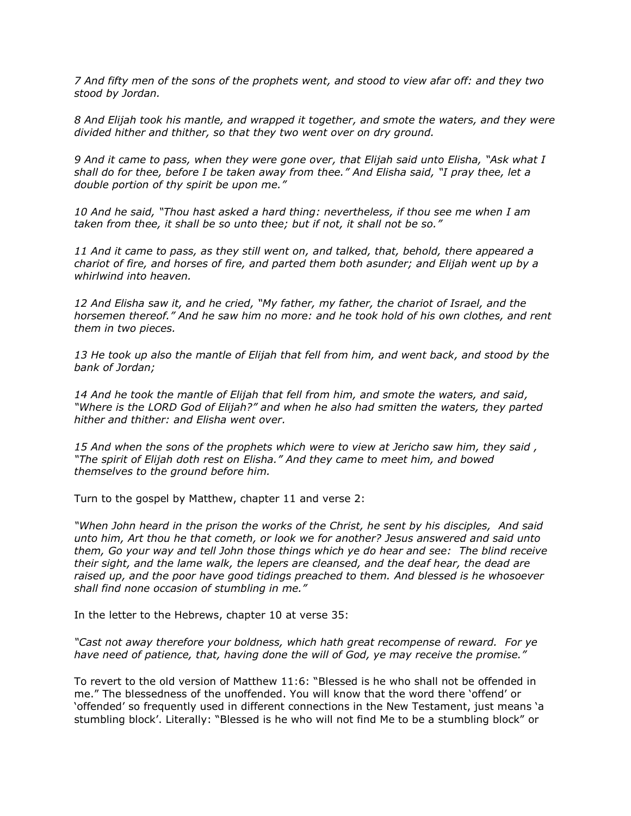*7 And fifty men of the sons of the prophets went, and stood to view afar off: and they two stood by Jordan.*

*8 And Elijah took his mantle, and wrapped it together, and smote the waters, and they were divided hither and thither, so that they two went over on dry ground.*

*9 And it came to pass, when they were gone over, that Elijah said unto Elisha, "Ask what I shall do for thee, before I be taken away from thee." And Elisha said, "I pray thee, let a double portion of thy spirit be upon me."*

*10 And he said, "Thou hast asked a hard thing: nevertheless, if thou see me when I am taken from thee, it shall be so unto thee; but if not, it shall not be so."*

*11 And it came to pass, as they still went on, and talked, that, behold, there appeared a chariot of fire, and horses of fire, and parted them both asunder; and Elijah went up by a whirlwind into heaven.*

*12 And Elisha saw it, and he cried, "My father, my father, the chariot of Israel, and the horsemen thereof." And he saw him no more: and he took hold of his own clothes, and rent them in two pieces.*

*13 He took up also the mantle of Elijah that fell from him, and went back, and stood by the bank of Jordan;*

*14 And he took the mantle of Elijah that fell from him, and smote the waters, and said, "Where is the LORD God of Elijah?" and when he also had smitten the waters, they parted hither and thither: and Elisha went over.*

*15 And when the sons of the prophets which were to view at Jericho saw him, they said , "The spirit of Elijah doth rest on Elisha." And they came to meet him, and bowed themselves to the ground before him.*

Turn to the gospel by Matthew, chapter 11 and verse 2:

*"When John heard in the prison the works of the Christ, he sent by his disciples, And said unto him, Art thou he that cometh, or look we for another? Jesus answered and said unto them, Go your way and tell John those things which ye do hear and see: The blind receive their sight, and the lame walk, the lepers are cleansed, and the deaf hear, the dead are raised up, and the poor have good tidings preached to them. And blessed is he whosoever shall find none occasion of stumbling in me."*

In the letter to the Hebrews, chapter 10 at verse 35:

*"Cast not away therefore your boldness, which hath great recompense of reward. For ye have need of patience, that, having done the will of God, ye may receive the promise."*

To revert to the old version of Matthew 11:6: "Blessed is he who shall not be offended in me." The blessedness of the unoffended. You will know that the word there "offend" or "offended" so frequently used in different connections in the New Testament, just means "a stumbling block". Literally: "Blessed is he who will not find Me to be a stumbling block" or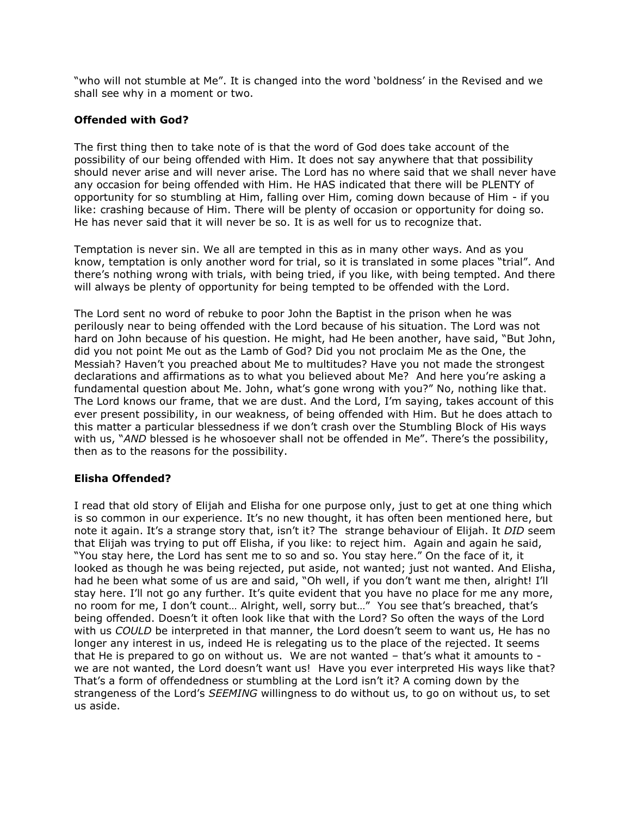"who will not stumble at Me". It is changed into the word "boldness" in the Revised and we shall see why in a moment or two.

#### **Offended with God?**

The first thing then to take note of is that the word of God does take account of the possibility of our being offended with Him. It does not say anywhere that that possibility should never arise and will never arise. The Lord has no where said that we shall never have any occasion for being offended with Him. He HAS indicated that there will be PLENTY of opportunity for so stumbling at Him, falling over Him, coming down because of Him - if you like: crashing because of Him. There will be plenty of occasion or opportunity for doing so. He has never said that it will never be so. It is as well for us to recognize that.

Temptation is never sin. We all are tempted in this as in many other ways. And as you know, temptation is only another word for trial, so it is translated in some places "trial". And there"s nothing wrong with trials, with being tried, if you like, with being tempted. And there will always be plenty of opportunity for being tempted to be offended with the Lord.

The Lord sent no word of rebuke to poor John the Baptist in the prison when he was perilously near to being offended with the Lord because of his situation. The Lord was not hard on John because of his question. He might, had He been another, have said, "But John, did you not point Me out as the Lamb of God? Did you not proclaim Me as the One, the Messiah? Haven"t you preached about Me to multitudes? Have you not made the strongest declarations and affirmations as to what you believed about Me? And here you"re asking a fundamental question about Me. John, what's gone wrong with you?" No, nothing like that. The Lord knows our frame, that we are dust. And the Lord, I"m saying, takes account of this ever present possibility, in our weakness, of being offended with Him. But he does attach to this matter a particular blessedness if we don"t crash over the Stumbling Block of His ways with us, "AND blessed is he whosoever shall not be offended in Me". There's the possibility, then as to the reasons for the possibility.

#### **Elisha Offended?**

I read that old story of Elijah and Elisha for one purpose only, just to get at one thing which is so common in our experience. It's no new thought, it has often been mentioned here, but note it again. It"s a strange story that, isn"t it? The strange behaviour of Elijah. It *DID* seem that Elijah was trying to put off Elisha, if you like: to reject him. Again and again he said, "You stay here, the Lord has sent me to so and so. You stay here." On the face of it, it looked as though he was being rejected, put aside, not wanted; just not wanted. And Elisha, had he been what some of us are and said, "Oh well, if you don"t want me then, alright! I"ll stay here. I"ll not go any further. It"s quite evident that you have no place for me any more, no room for me, I don't count... Alright, well, sorry but..." You see that's breached, that's being offended. Doesn"t it often look like that with the Lord? So often the ways of the Lord with us *COULD* be interpreted in that manner, the Lord doesn't seem to want us, He has no longer any interest in us, indeed He is relegating us to the place of the rejected. It seems that He is prepared to go on without us. We are not wanted  $-$  that's what it amounts to  $$ we are not wanted, the Lord doesn't want us! Have you ever interpreted His ways like that? That's a form of offendedness or stumbling at the Lord isn't it? A coming down by the strangeness of the Lord"s *SEEMING* willingness to do without us, to go on without us, to set us aside.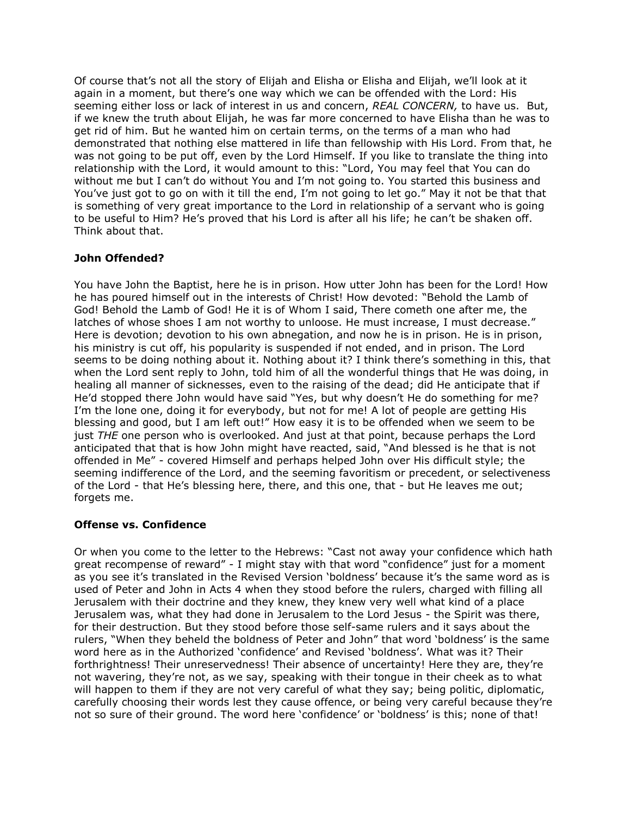Of course that"s not all the story of Elijah and Elisha or Elisha and Elijah, we"ll look at it again in a moment, but there's one way which we can be offended with the Lord: His seeming either loss or lack of interest in us and concern, *REAL CONCERN,* to have us. But, if we knew the truth about Elijah, he was far more concerned to have Elisha than he was to get rid of him. But he wanted him on certain terms, on the terms of a man who had demonstrated that nothing else mattered in life than fellowship with His Lord. From that, he was not going to be put off, even by the Lord Himself. If you like to translate the thing into relationship with the Lord, it would amount to this: "Lord, You may feel that You can do without me but I can't do without You and I'm not going to. You started this business and You"ve just got to go on with it till the end, I"m not going to let go." May it not be that that is something of very great importance to the Lord in relationship of a servant who is going to be useful to Him? He's proved that his Lord is after all his life; he can't be shaken off. Think about that.

### **John Offended?**

You have John the Baptist, here he is in prison. How utter John has been for the Lord! How he has poured himself out in the interests of Christ! How devoted: "Behold the Lamb of God! Behold the Lamb of God! He it is of Whom I said, There cometh one after me, the latches of whose shoes I am not worthy to unloose. He must increase, I must decrease." Here is devotion; devotion to his own abnegation, and now he is in prison. He is in prison, his ministry is cut off, his popularity is suspended if not ended, and in prison. The Lord seems to be doing nothing about it. Nothing about it? I think there's something in this, that when the Lord sent reply to John, told him of all the wonderful things that He was doing, in healing all manner of sicknesses, even to the raising of the dead; did He anticipate that if He'd stopped there John would have said "Yes, but why doesn't He do something for me? I"m the lone one, doing it for everybody, but not for me! A lot of people are getting His blessing and good, but I am left out!" How easy it is to be offended when we seem to be just *THE* one person who is overlooked. And just at that point, because perhaps the Lord anticipated that that is how John might have reacted, said, "And blessed is he that is not offended in Me" - covered Himself and perhaps helped John over His difficult style; the seeming indifference of the Lord, and the seeming favoritism or precedent, or selectiveness of the Lord - that He"s blessing here, there, and this one, that - but He leaves me out; forgets me.

#### **Offense vs. Confidence**

Or when you come to the letter to the Hebrews: "Cast not away your confidence which hath great recompense of reward" - I might stay with that word "confidence" just for a moment as you see it's translated in the Revised Version 'boldness' because it's the same word as is used of Peter and John in Acts 4 when they stood before the rulers, charged with filling all Jerusalem with their doctrine and they knew, they knew very well what kind of a place Jerusalem was, what they had done in Jerusalem to the Lord Jesus - the Spirit was there, for their destruction. But they stood before those self-same rulers and it says about the rulers, "When they beheld the boldness of Peter and John" that word "boldness" is the same word here as in the Authorized "confidence" and Revised "boldness". What was it? Their forthrightness! Their unreservedness! Their absence of uncertainty! Here they are, they're not wavering, they"re not, as we say, speaking with their tongue in their cheek as to what will happen to them if they are not very careful of what they say; being politic, diplomatic, carefully choosing their words lest they cause offence, or being very careful because they"re not so sure of their ground. The word here 'confidence' or 'boldness' is this; none of that!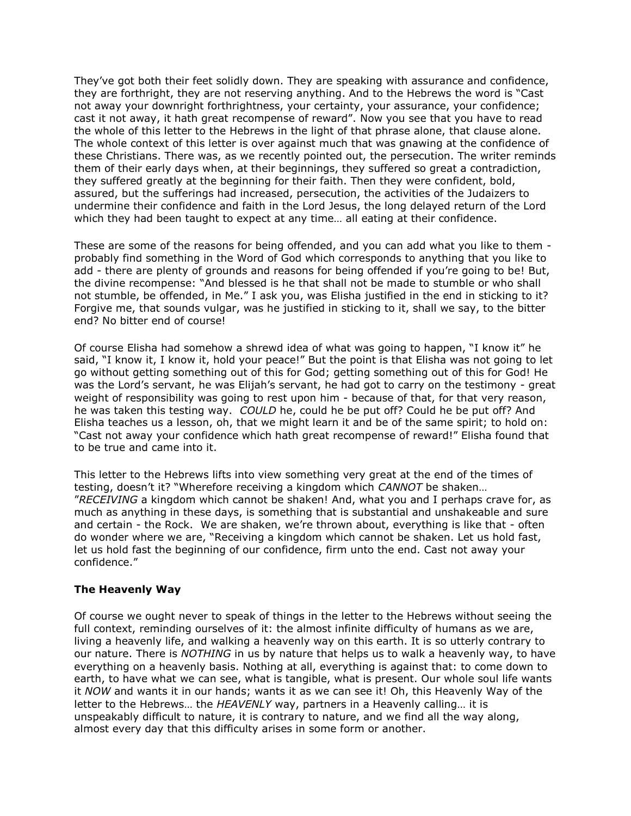They"ve got both their feet solidly down. They are speaking with assurance and confidence, they are forthright, they are not reserving anything. And to the Hebrews the word is "Cast not away your downright forthrightness, your certainty, your assurance, your confidence; cast it not away, it hath great recompense of reward". Now you see that you have to read the whole of this letter to the Hebrews in the light of that phrase alone, that clause alone. The whole context of this letter is over against much that was gnawing at the confidence of these Christians. There was, as we recently pointed out, the persecution. The writer reminds them of their early days when, at their beginnings, they suffered so great a contradiction, they suffered greatly at the beginning for their faith. Then they were confident, bold, assured, but the sufferings had increased, persecution, the activities of the Judaizers to undermine their confidence and faith in the Lord Jesus, the long delayed return of the Lord which they had been taught to expect at any time… all eating at their confidence.

These are some of the reasons for being offended, and you can add what you like to them probably find something in the Word of God which corresponds to anything that you like to add - there are plenty of grounds and reasons for being offended if you're going to be! But, the divine recompense: "And blessed is he that shall not be made to stumble or who shall not stumble, be offended, in Me." I ask you, was Elisha justified in the end in sticking to it? Forgive me, that sounds vulgar, was he justified in sticking to it, shall we say, to the bitter end? No bitter end of course!

Of course Elisha had somehow a shrewd idea of what was going to happen, "I know it" he said, "I know it, I know it, hold your peace!" But the point is that Elisha was not going to let go without getting something out of this for God; getting something out of this for God! He was the Lord's servant, he was Elijah's servant, he had got to carry on the testimony - great weight of responsibility was going to rest upon him - because of that, for that very reason, he was taken this testing way. *COULD* he, could he be put off? Could he be put off? And Elisha teaches us a lesson, oh, that we might learn it and be of the same spirit; to hold on: "Cast not away your confidence which hath great recompense of reward!" Elisha found that to be true and came into it.

This letter to the Hebrews lifts into view something very great at the end of the times of testing, doesn"t it? "Wherefore receiving a kingdom which *CANNOT* be shaken… "*RECEIVING* a kingdom which cannot be shaken! And, what you and I perhaps crave for, as much as anything in these days, is something that is substantial and unshakeable and sure and certain - the Rock. We are shaken, we're thrown about, everything is like that - often do wonder where we are, "Receiving a kingdom which cannot be shaken. Let us hold fast, let us hold fast the beginning of our confidence, firm unto the end. Cast not away your confidence."

#### **The Heavenly Way**

Of course we ought never to speak of things in the letter to the Hebrews without seeing the full context, reminding ourselves of it: the almost infinite difficulty of humans as we are, living a heavenly life, and walking a heavenly way on this earth. It is so utterly contrary to our nature. There is *NOTHING* in us by nature that helps us to walk a heavenly way, to have everything on a heavenly basis. Nothing at all, everything is against that: to come down to earth, to have what we can see, what is tangible, what is present. Our whole soul life wants it *NOW* and wants it in our hands; wants it as we can see it! Oh, this Heavenly Way of the letter to the Hebrews… the *HEAVENLY* way, partners in a Heavenly calling… it is unspeakably difficult to nature, it is contrary to nature, and we find all the way along, almost every day that this difficulty arises in some form or another.